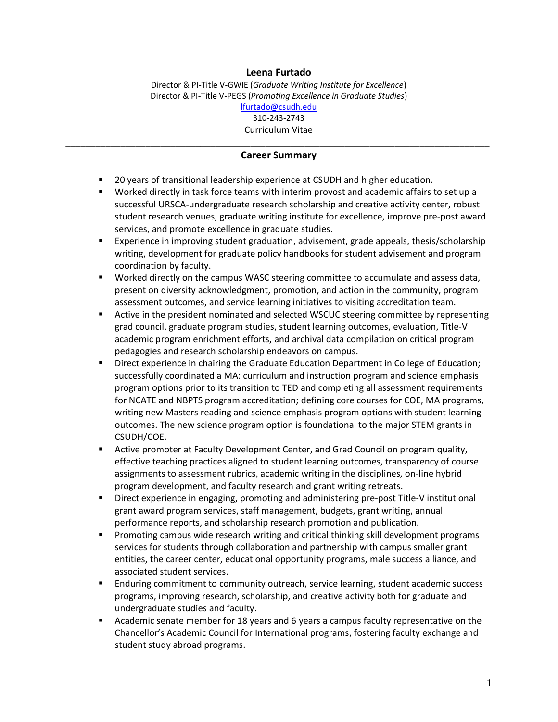#### **Leena Furtado**

Director & PI-Title V-GWIE (*Graduate Writing Institute for Excellence*) Director & PI-Title V-PEGS (*Promoting Excellence in Graduate Studies*) [lfurtado@csudh.edu](mailto:lfurtado@csudh.edu) 310-243-2743 Curriculum Vitae

#### \_\_\_\_\_\_\_\_\_\_\_\_\_\_\_\_\_\_\_\_\_\_\_\_\_\_\_\_\_\_\_\_\_\_\_\_\_\_\_\_\_\_\_\_\_\_\_\_\_\_\_\_\_\_\_\_\_\_\_\_\_\_\_\_\_\_\_\_\_\_\_\_\_\_\_\_\_\_\_\_\_\_\_\_\_ **Career Summary**

- **20 years of transitional leadership experience at CSUDH and higher education.**
- Worked directly in task force teams with interim provost and academic affairs to set up a successful URSCA-undergraduate research scholarship and creative activity center, robust student research venues, graduate writing institute for excellence, improve pre-post award services, and promote excellence in graduate studies.
- Experience in improving student graduation, advisement, grade appeals, thesis/scholarship writing, development for graduate policy handbooks for student advisement and program coordination by faculty.
- Worked directly on the campus WASC steering committee to accumulate and assess data, present on diversity acknowledgment, promotion, and action in the community, program assessment outcomes, and service learning initiatives to visiting accreditation team.
- **EXECT** Active in the president nominated and selected WSCUC steering committee by representing grad council, graduate program studies, student learning outcomes, evaluation, Title-V academic program enrichment efforts, and archival data compilation on critical program pedagogies and research scholarship endeavors on campus.
- Direct experience in chairing the Graduate Education Department in College of Education; successfully coordinated a MA: curriculum and instruction program and science emphasis program options prior to its transition to TED and completing all assessment requirements for NCATE and NBPTS program accreditation; defining core courses for COE, MA programs, writing new Masters reading and science emphasis program options with student learning outcomes. The new science program option is foundational to the major STEM grants in CSUDH/COE.
- Active promoter at Faculty Development Center, and Grad Council on program quality, effective teaching practices aligned to student learning outcomes, transparency of course assignments to assessment rubrics, academic writing in the disciplines, on-line hybrid program development, and faculty research and grant writing retreats.
- **Direct experience in engaging, promoting and administering pre-post Title-V institutional** grant award program services, staff management, budgets, grant writing, annual performance reports, and scholarship research promotion and publication.
- **Promoting campus wide research writing and critical thinking skill development programs** services for students through collaboration and partnership with campus smaller grant entities, the career center, educational opportunity programs, male success alliance, and associated student services.
- **Enduring commitment to community outreach, service learning, student academic success** programs, improving research, scholarship, and creative activity both for graduate and undergraduate studies and faculty.
- Academic senate member for 18 years and 6 years a campus faculty representative on the Chancellor's Academic Council for International programs, fostering faculty exchange and student study abroad programs.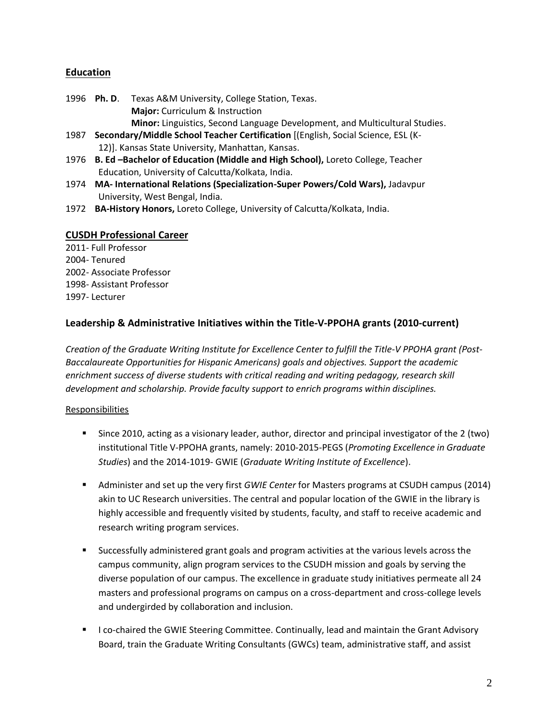## **Education**

- 1996 **Ph. D**. Texas A&M University, College Station, Texas. **Major:** Curriculum & Instruction **Minor:** Linguistics, Second Language Development, and Multicultural Studies.
- 1987 **Secondary/Middle School Teacher Certification** [(English, Social Science, ESL (K-12)]. Kansas State University, Manhattan, Kansas.
- 1976 **B. Ed –Bachelor of Education (Middle and High School),** Loreto College, Teacher Education, University of Calcutta/Kolkata, India.
- 1974 **MA- International Relations (Specialization-Super Powers/Cold Wars),** Jadavpur University, West Bengal, India.
- 1972 **BA-History Honors,** Loreto College, University of Calcutta/Kolkata, India.

### **CUSDH Professional Career**

2011- Full Professor 2004- Tenured 2002- Associate Professor 1998- Assistant Professor 1997- Lecturer

# **Leadership & Administrative Initiatives within the Title-V-PPOHA grants (2010-current)**

*Creation of the Graduate Writing Institute for Excellence Center to fulfill the Title-V PPOHA grant (Post-Baccalaureate Opportunities for Hispanic Americans) goals and objectives. Support the academic enrichment success of diverse students with critical reading and writing pedagogy, research skill development and scholarship. Provide faculty support to enrich programs within disciplines.* 

### Responsibilities

- Since 2010, acting as a visionary leader, author, director and principal investigator of the 2 (two) institutional Title V-PPOHA grants, namely: 2010-2015-PEGS (*Promoting Excellence in Graduate Studies*) and the 2014-1019- GWIE (*Graduate Writing Institute of Excellence*).
- Administer and set up the very first *GWIE Center* for Masters programs at CSUDH campus (2014) akin to UC Research universities. The central and popular location of the GWIE in the library is highly accessible and frequently visited by students, faculty, and staff to receive academic and research writing program services.
- Successfully administered grant goals and program activities at the various levels across the campus community, align program services to the CSUDH mission and goals by serving the diverse population of our campus. The excellence in graduate study initiatives permeate all 24 masters and professional programs on campus on a cross-department and cross-college levels and undergirded by collaboration and inclusion.
- I co-chaired the GWIE Steering Committee. Continually, lead and maintain the Grant Advisory Board, train the Graduate Writing Consultants (GWCs) team, administrative staff, and assist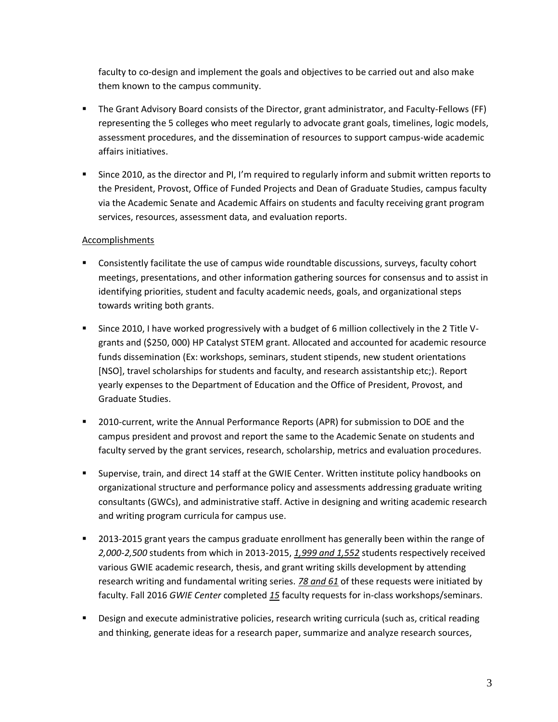faculty to co-design and implement the goals and objectives to be carried out and also make them known to the campus community.

- The Grant Advisory Board consists of the Director, grant administrator, and Faculty-Fellows (FF) representing the 5 colleges who meet regularly to advocate grant goals, timelines, logic models, assessment procedures, and the dissemination of resources to support campus-wide academic affairs initiatives.
- Since 2010, as the director and PI, I'm required to regularly inform and submit written reports to the President, Provost, Office of Funded Projects and Dean of Graduate Studies, campus faculty via the Academic Senate and Academic Affairs on students and faculty receiving grant program services, resources, assessment data, and evaluation reports.

- **Consistently facilitate the use of campus wide roundtable discussions, surveys, faculty cohort** meetings, presentations, and other information gathering sources for consensus and to assist in identifying priorities, student and faculty academic needs, goals, and organizational steps towards writing both grants.
- Since 2010, I have worked progressively with a budget of 6 million collectively in the 2 Title Vgrants and (\$250, 000) HP Catalyst STEM grant. Allocated and accounted for academic resource funds dissemination (Ex: workshops, seminars, student stipends, new student orientations [NSO], travel scholarships for students and faculty, and research assistantship etc;). Report yearly expenses to the Department of Education and the Office of President, Provost, and Graduate Studies.
- 2010-current, write the Annual Performance Reports (APR) for submission to DOE and the campus president and provost and report the same to the Academic Senate on students and faculty served by the grant services, research, scholarship, metrics and evaluation procedures.
- Supervise, train, and direct 14 staff at the GWIE Center. Written institute policy handbooks on organizational structure and performance policy and assessments addressing graduate writing consultants (GWCs), and administrative staff. Active in designing and writing academic research and writing program curricula for campus use.
- 2013-2015 grant years the campus graduate enrollment has generally been within the range of *2,000-2,500* students from which in 2013-2015, *1,999 and 1,552* students respectively received various GWIE academic research, thesis, and grant writing skills development by attending research writing and fundamental writing series. *78 and 61* of these requests were initiated by faculty. Fall 2016 *GWIE Center* completed *15* faculty requests for in-class workshops/seminars.
- **Design and execute administrative policies, research writing curricula (such as, critical reading** and thinking, generate ideas for a research paper, summarize and analyze research sources,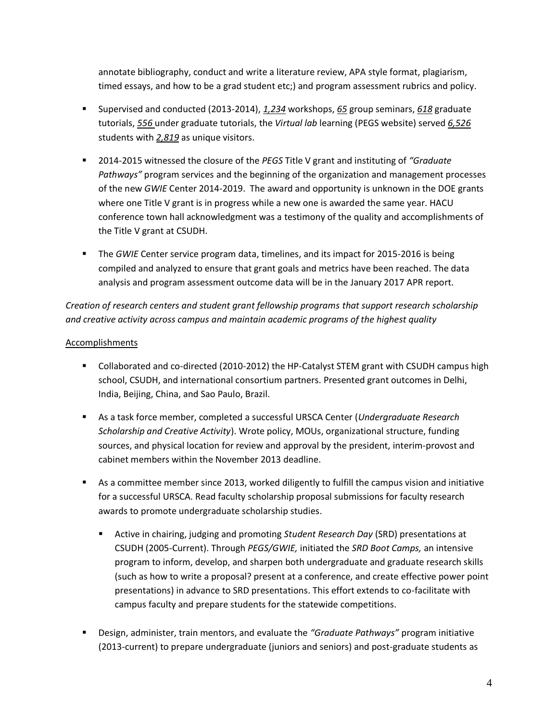annotate bibliography, conduct and write a literature review, APA style format, plagiarism, timed essays, and how to be a grad student etc;) and program assessment rubrics and policy.

- Supervised and conducted (2013-2014), *1,234* workshops, *65* group seminars, *618* graduate tutorials, *556* under graduate tutorials, the *Virtual lab* learning (PEGS website) served *6,526* students with *2,819* as unique visitors.
- 2014-2015 witnessed the closure of the *PEGS* Title V grant and instituting of *"Graduate Pathways"* program services and the beginning of the organization and management processes of the new *GWIE* Center 2014-2019. The award and opportunity is unknown in the DOE grants where one Title V grant is in progress while a new one is awarded the same year. HACU conference town hall acknowledgment was a testimony of the quality and accomplishments of the Title V grant at CSUDH.
- **The** *GWIE* Center service program data, timelines, and its impact for 2015-2016 is being compiled and analyzed to ensure that grant goals and metrics have been reached. The data analysis and program assessment outcome data will be in the January 2017 APR report.

*Creation of research centers and student grant fellowship programs that support research scholarship and creative activity across campus and maintain academic programs of the highest quality* 

- Collaborated and co-directed (2010-2012) the HP-Catalyst STEM grant with CSUDH campus high school, CSUDH, and international consortium partners. Presented grant outcomes in Delhi, India, Beijing, China, and Sao Paulo, Brazil.
- As a task force member, completed a successful URSCA Center (*Undergraduate Research Scholarship and Creative Activity*). Wrote policy, MOUs, organizational structure, funding sources, and physical location for review and approval by the president, interim-provost and cabinet members within the November 2013 deadline.
- As a committee member since 2013, worked diligently to fulfill the campus vision and initiative for a successful URSCA. Read faculty scholarship proposal submissions for faculty research awards to promote undergraduate scholarship studies.
	- Active in chairing, judging and promoting *Student Research Day* (SRD) presentations at CSUDH (2005-Current). Through *PEGS/GWIE,* initiated the *SRD Boot Camps,* an intensive program to inform, develop, and sharpen both undergraduate and graduate research skills (such as how to write a proposal? present at a conference, and create effective power point presentations) in advance to SRD presentations. This effort extends to co-facilitate with campus faculty and prepare students for the statewide competitions.
- Design, administer, train mentors, and evaluate the *"Graduate Pathways"* program initiative (2013-current) to prepare undergraduate (juniors and seniors) and post-graduate students as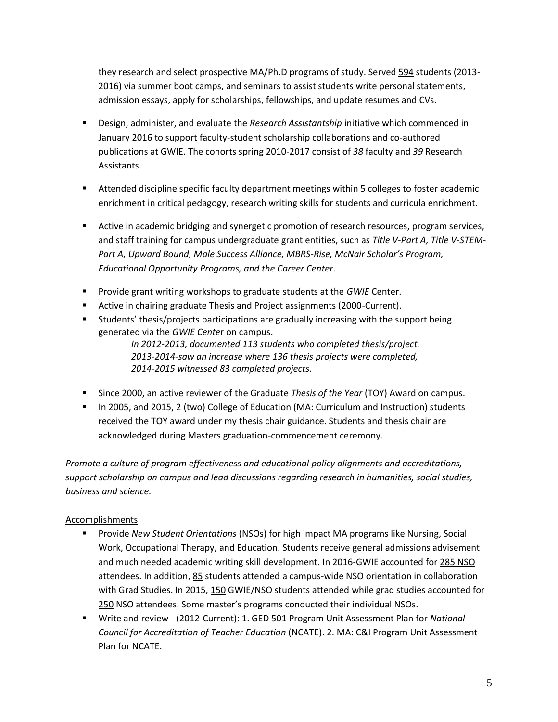they research and select prospective MA/Ph.D programs of study. Served 594 students (2013- 2016) via summer boot camps, and seminars to assist students write personal statements, admission essays, apply for scholarships, fellowships, and update resumes and CVs.

- Design, administer, and evaluate the *Research Assistantship* initiative which commenced in January 2016 to support faculty-student scholarship collaborations and co-authored publications at GWIE. The cohorts spring 2010-2017 consist of *38* faculty and *39* Research Assistants.
- Attended discipline specific faculty department meetings within 5 colleges to foster academic enrichment in critical pedagogy, research writing skills for students and curricula enrichment.
- **EXECT** Active in academic bridging and synergetic promotion of research resources, program services, and staff training for campus undergraduate grant entities, such as *Title V-Part A, Title V-STEM-Part A, Upward Bound, Male Success Alliance, MBRS-Rise, McNair Scholar's Program, Educational Opportunity Programs, and the Career Center*.
- **Provide grant writing workshops to graduate students at the** *GWIE* Center.
- Active in chairing graduate Thesis and Project assignments (2000-Current).
- Students' thesis/projects participations are gradually increasing with the support being generated via the *GWIE Cente*r on campus.

*In 2012-2013, documented 113 students who completed thesis/project. 2013-2014-saw an increase where 136 thesis projects were completed, 2014-2015 witnessed 83 completed projects.* 

- Since 2000, an active reviewer of the Graduate *Thesis of the Year* (TOY) Award on campus.
- In 2005, and 2015, 2 (two) College of Education (MA: Curriculum and Instruction) students received the TOY award under my thesis chair guidance. Students and thesis chair are acknowledged during Masters graduation-commencement ceremony.

*Promote a culture of program effectiveness and educational policy alignments and accreditations, support scholarship on campus and lead discussions regarding research in humanities, social studies, business and science.*

- Provide *New Student Orientations* (NSOs) for high impact MA programs like Nursing, Social Work, Occupational Therapy, and Education. Students receive general admissions advisement and much needed academic writing skill development. In 2016-GWIE accounted for 285 NSO attendees. In addition, 85 students attended a campus-wide NSO orientation in collaboration with Grad Studies. In 2015, 150 GWIE/NSO students attended while grad studies accounted for 250 NSO attendees. Some master's programs conducted their individual NSOs.
- Write and review (2012-Current): 1. GED 501 Program Unit Assessment Plan for *National Council for Accreditation of Teacher Education* (NCATE). 2. MA: C&I Program Unit Assessment Plan for NCATE.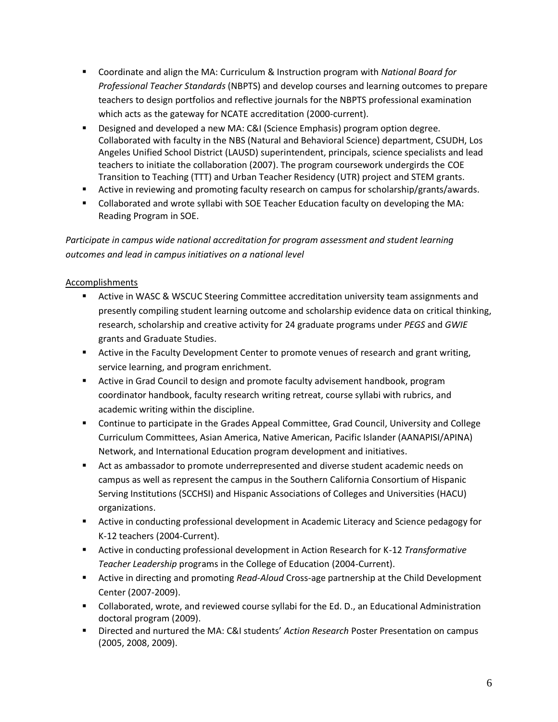- Coordinate and align the MA: Curriculum & Instruction program with *National Board for Professional Teacher Standards* (NBPTS) and develop courses and learning outcomes to prepare teachers to design portfolios and reflective journals for the NBPTS professional examination which acts as the gateway for NCATE accreditation (2000-current).
- Designed and developed a new MA: C&I (Science Emphasis) program option degree. Collaborated with faculty in the NBS (Natural and Behavioral Science) department, CSUDH, Los Angeles Unified School District (LAUSD) superintendent, principals, science specialists and lead teachers to initiate the collaboration (2007). The program coursework undergirds the COE Transition to Teaching (TTT) and Urban Teacher Residency (UTR) project and STEM grants.
- **Active in reviewing and promoting faculty research on campus for scholarship/grants/awards.**
- Collaborated and wrote syllabi with SOE Teacher Education faculty on developing the MA: Reading Program in SOE.

*Participate in campus wide national accreditation for program assessment and student learning outcomes and lead in campus initiatives on a national level* 

- Active in WASC & WSCUC Steering Committee accreditation university team assignments and presently compiling student learning outcome and scholarship evidence data on critical thinking, research, scholarship and creative activity for 24 graduate programs under *PEGS* and *GWIE* grants and Graduate Studies.
- **EXECT** Active in the Faculty Development Center to promote venues of research and grant writing, service learning, and program enrichment.
- **EXTED Active in Grad Council to design and promote faculty advisement handbook, program** coordinator handbook, faculty research writing retreat, course syllabi with rubrics, and academic writing within the discipline.
- Continue to participate in the Grades Appeal Committee, Grad Council, University and College Curriculum Committees, Asian America, Native American, Pacific Islander (AANAPISI/APINA) Network, and International Education program development and initiatives.
- Act as ambassador to promote underrepresented and diverse student academic needs on campus as well as represent the campus in the Southern California Consortium of Hispanic Serving Institutions (SCCHSI) and Hispanic Associations of Colleges and Universities (HACU) organizations.
- Active in conducting professional development in Academic Literacy and Science pedagogy for K-12 teachers (2004-Current).
- Active in conducting professional development in Action Research for K-12 *Transformative Teacher Leadership* programs in the College of Education (2004-Current).
- Active in directing and promoting *Read-Aloud* Cross-age partnership at the Child Development Center (2007-2009).
- Collaborated, wrote, and reviewed course syllabi for the Ed. D., an Educational Administration doctoral program (2009).
- Directed and nurtured the MA: C&I students' *Action Research* Poster Presentation on campus (2005, 2008, 2009).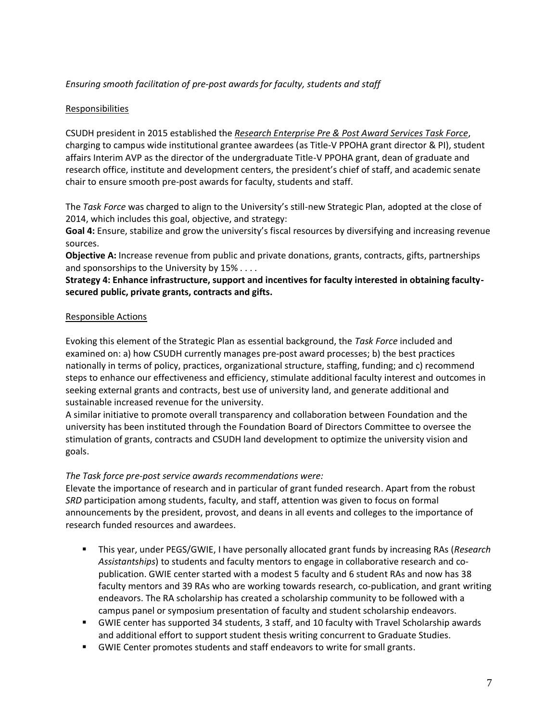### *Ensuring smooth facilitation of pre-post awards for faculty, students and staff*

### Responsibilities

CSUDH president in 2015 established the *Research Enterprise Pre & Post Award Services Task Force*, charging to campus wide institutional grantee awardees (as Title-V PPOHA grant director & PI), student affairs Interim AVP as the director of the undergraduate Title-V PPOHA grant, dean of graduate and research office, institute and development centers, the president's chief of staff, and academic senate chair to ensure smooth pre-post awards for faculty, students and staff.

The *Task Force* was charged to align to the University's still-new Strategic Plan, adopted at the close of 2014, which includes this goal, objective, and strategy:

**Goal 4:** Ensure, stabilize and grow the university's fiscal resources by diversifying and increasing revenue sources.

**Objective A:** Increase revenue from public and private donations, grants, contracts, gifts, partnerships and sponsorships to the University by 15% . . . .

#### **Strategy 4: Enhance infrastructure, support and incentives for faculty interested in obtaining facultysecured public, private grants, contracts and gifts.**

#### Responsible Actions

Evoking this element of the Strategic Plan as essential background, the *Task Force* included and examined on: a) how CSUDH currently manages pre-post award processes; b) the best practices nationally in terms of policy, practices, organizational structure, staffing, funding; and c) recommend steps to enhance our effectiveness and efficiency, stimulate additional faculty interest and outcomes in seeking external grants and contracts, best use of university land, and generate additional and sustainable increased revenue for the university.

A similar initiative to promote overall transparency and collaboration between Foundation and the university has been instituted through the Foundation Board of Directors Committee to oversee the stimulation of grants, contracts and CSUDH land development to optimize the university vision and goals.

### *The Task force pre-post service awards recommendations were:*

Elevate the importance of research and in particular of grant funded research. Apart from the robust *SRD* participation among students, faculty, and staff, attention was given to focus on formal announcements by the president, provost, and deans in all events and colleges to the importance of research funded resources and awardees.

- This year, under PEGS/GWIE, I have personally allocated grant funds by increasing RAs (*Research Assistantships*) to students and faculty mentors to engage in collaborative research and copublication. GWIE center started with a modest 5 faculty and 6 student RAs and now has 38 faculty mentors and 39 RAs who are working towards research, co-publication, and grant writing endeavors. The RA scholarship has created a scholarship community to be followed with a campus panel or symposium presentation of faculty and student scholarship endeavors.
- GWIE center has supported 34 students, 3 staff, and 10 faculty with Travel Scholarship awards and additional effort to support student thesis writing concurrent to Graduate Studies.
- GWIE Center promotes students and staff endeavors to write for small grants.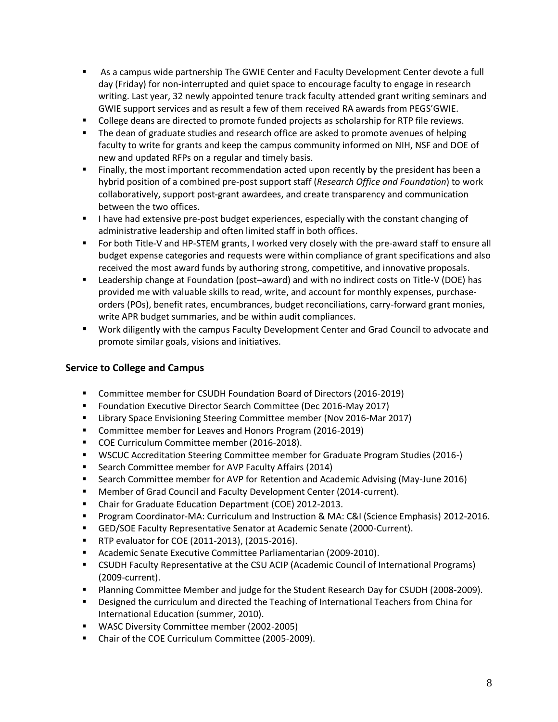- As a campus wide partnership The GWIE Center and Faculty Development Center devote a full day (Friday) for non-interrupted and quiet space to encourage faculty to engage in research writing. Last year, 32 newly appointed tenure track faculty attended grant writing seminars and GWIE support services and as result a few of them received RA awards from PEGS'GWIE.
- College deans are directed to promote funded projects as scholarship for RTP file reviews.
- **The dean of graduate studies and research office are asked to promote avenues of helping** faculty to write for grants and keep the campus community informed on NIH, NSF and DOE of new and updated RFPs on a regular and timely basis.
- Finally, the most important recommendation acted upon recently by the president has been a hybrid position of a combined pre-post support staff (*Research Office and Foundation*) to work collaboratively, support post-grant awardees, and create transparency and communication between the two offices.
- I have had extensive pre-post budget experiences, especially with the constant changing of administrative leadership and often limited staff in both offices.
- For both Title-V and HP-STEM grants, I worked very closely with the pre-award staff to ensure all budget expense categories and requests were within compliance of grant specifications and also received the most award funds by authoring strong, competitive, and innovative proposals.
- Leadership change at Foundation (post–award) and with no indirect costs on Title-V (DOE) has provided me with valuable skills to read, write, and account for monthly expenses, purchaseorders (POs), benefit rates, encumbrances, budget reconciliations, carry-forward grant monies, write APR budget summaries, and be within audit compliances.
- Work diligently with the campus Faculty Development Center and Grad Council to advocate and promote similar goals, visions and initiatives.

### **Service to College and Campus**

- Committee member for CSUDH Foundation Board of Directors (2016-2019)
- **F** Foundation Executive Director Search Committee (Dec 2016-May 2017)
- Library Space Envisioning Steering Committee member (Nov 2016-Mar 2017)
- **Committee member for Leaves and Honors Program (2016-2019)**
- COE Curriculum Committee member (2016-2018).
- WSCUC Accreditation Steering Committee member for Graduate Program Studies (2016-)
- **Search Committee member for AVP Faculty Affairs (2014)**
- Search Committee member for AVP for Retention and Academic Advising (May-June 2016)
- **Member of Grad Council and Faculty Development Center (2014-current).**
- Chair for Graduate Education Department (COE) 2012-2013.
- **Program Coordinator-MA: Curriculum and Instruction & MA: C&I (Science Emphasis) 2012-2016.**
- GED/SOE Faculty Representative Senator at Academic Senate (2000-Current).
- **RTP evaluator for COE (2011-2013), (2015-2016).**
- Academic Senate Executive Committee Parliamentarian (2009-2010).
- CSUDH Faculty Representative at the CSU ACIP (Academic Council of International Programs) (2009-current).
- Planning Committee Member and judge for the Student Research Day for CSUDH (2008-2009).
- Designed the curriculum and directed the Teaching of International Teachers from China for International Education (summer, 2010).
- **WASC Diversity Committee member (2002-2005)**
- Chair of the COE Curriculum Committee (2005-2009).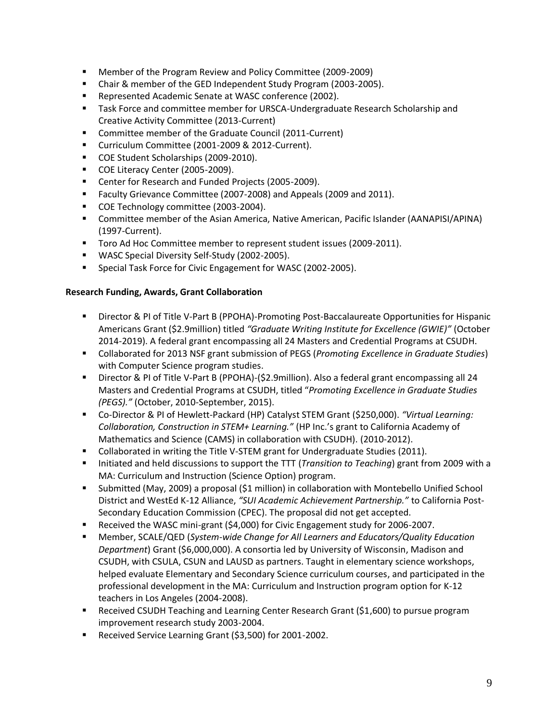- Member of the Program Review and Policy Committee (2009-2009)
- Chair & member of the GED Independent Study Program (2003-2005).
- Represented Academic Senate at WASC conference (2002).
- Task Force and committee member for URSCA-Undergraduate Research Scholarship and Creative Activity Committee (2013-Current)
- Committee member of the Graduate Council (2011-Current)
- **Curriculum Committee (2001-2009 & 2012-Current).**
- COE Student Scholarships (2009-2010).
- COE Literacy Center (2005-2009).
- Center for Research and Funded Projects (2005-2009).
- **Faculty Grievance Committee (2007-2008) and Appeals (2009 and 2011).**
- COE Technology committee (2003-2004).
- Committee member of the Asian America, Native American, Pacific Islander (AANAPISI/APINA) (1997-Current).
- **Toro Ad Hoc Committee member to represent student issues (2009-2011).**
- WASC Special Diversity Self-Study (2002-2005).
- Special Task Force for Civic Engagement for WASC (2002-2005).

### **Research Funding, Awards, Grant Collaboration**

- Director & PI of Title V-Part B (PPOHA)-Promoting Post-Baccalaureate Opportunities for Hispanic Americans Grant (\$2.9million) titled *"Graduate Writing Institute for Excellence (GWIE)"* (October 2014-2019). A federal grant encompassing all 24 Masters and Credential Programs at CSUDH.
- Collaborated for 2013 NSF grant submission of PEGS (*Promoting Excellence in Graduate Studies*) with Computer Science program studies.
- Director & PI of Title V-Part B (PPOHA)-(\$2.9million). Also a federal grant encompassing all 24 Masters and Credential Programs at CSUDH, titled "*Promoting Excellence in Graduate Studies (PEGS)."* (October, 2010-September, 2015).
- Co-Director & PI of Hewlett-Packard (HP) Catalyst STEM Grant (\$250,000). *"Virtual Learning: Collaboration, Construction in STEM+ Learning."* (HP Inc.'s grant to California Academy of Mathematics and Science (CAMS) in collaboration with CSUDH). (2010-2012).
- **Collaborated in writing the Title V-STEM grant for Undergraduate Studies (2011).**
- Initiated and held discussions to support the TTT (*Transition to Teaching*) grant from 2009 with a MA: Curriculum and Instruction (Science Option) program.
- Submitted (May, 2009) a proposal (\$1 million) in collaboration with Montebello Unified School District and WestEd K-12 Alliance, *"SUI Academic Achievement Partnership."* to California Post-Secondary Education Commission (CPEC). The proposal did not get accepted.
- Received the WASC mini-grant (\$4,000) for Civic Engagement study for 2006-2007.
- Member, SCALE/QED (*System-wide Change for All Learners and Educators/Quality Education Department*) Grant (\$6,000,000). A consortia led by University of Wisconsin, Madison and CSUDH, with CSULA, CSUN and LAUSD as partners. Taught in elementary science workshops, helped evaluate Elementary and Secondary Science curriculum courses, and participated in the professional development in the MA: Curriculum and Instruction program option for K-12 teachers in Los Angeles (2004-2008).
- Received CSUDH Teaching and Learning Center Research Grant (\$1,600) to pursue program improvement research study 2003-2004.
- Received Service Learning Grant (\$3,500) for 2001-2002.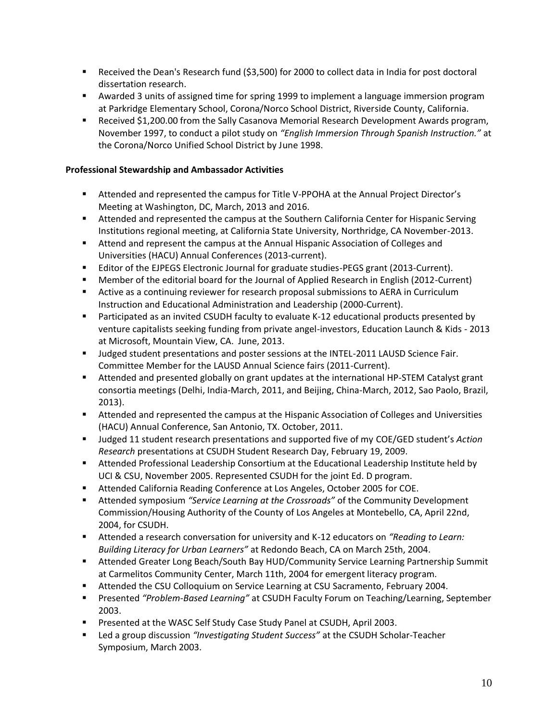- Received the Dean's Research fund (\$3,500) for 2000 to collect data in India for post doctoral dissertation research.
- Awarded 3 units of assigned time for spring 1999 to implement a language immersion program at Parkridge Elementary School, Corona/Norco School District, Riverside County, California.
- **Received \$1,200.00 from the Sally Casanova Memorial Research Development Awards program,** November 1997, to conduct a pilot study on *"English Immersion Through Spanish Instruction."* at the Corona/Norco Unified School District by June 1998.

#### **Professional Stewardship and Ambassador Activities**

- Attended and represented the campus for Title V-PPOHA at the Annual Project Director's Meeting at Washington, DC, March, 2013 and 2016.
- Attended and represented the campus at the Southern California Center for Hispanic Serving Institutions regional meeting, at California State University, Northridge, CA November-2013.
- Attend and represent the campus at the Annual Hispanic Association of Colleges and Universities (HACU) Annual Conferences (2013-current).
- Editor of the EJPEGS Electronic Journal for graduate studies-PEGS grant (2013-Current).
- Member of the editorial board for the Journal of Applied Research in English (2012-Current)
- Active as a continuing reviewer for research proposal submissions to AERA in Curriculum Instruction and Educational Administration and Leadership (2000-Current).
- Participated as an invited CSUDH faculty to evaluate K-12 educational products presented by venture capitalists seeking funding from private angel-investors, Education Launch & Kids - 2013 at Microsoft, Mountain View, CA. June, 2013.
- **Judged student presentations and poster sessions at the INTEL-2011 LAUSD Science Fair.** Committee Member for the LAUSD Annual Science fairs (2011-Current).
- Attended and presented globally on grant updates at the international HP-STEM Catalyst grant consortia meetings (Delhi, India-March, 2011, and Beijing, China-March, 2012, Sao Paolo, Brazil, 2013).
- Attended and represented the campus at the Hispanic Association of Colleges and Universities (HACU) Annual Conference, San Antonio, TX. October, 2011.
- Judged 11 student research presentations and supported five of my COE/GED student's *Action Research* presentations at CSUDH Student Research Day, February 19, 2009.
- Attended Professional Leadership Consortium at the Educational Leadership Institute held by UCI & CSU, November 2005. Represented CSUDH for the joint Ed. D program.
- Attended California Reading Conference at Los Angeles, October 2005 for COE.
- Attended symposium *"Service Learning at the Crossroads"* of the Community Development Commission/Housing Authority of the County of Los Angeles at Montebello, CA, April 22nd, 2004, for CSUDH.
- Attended a research conversation for university and K-12 educators on *"Reading to Learn: Building Literacy for Urban Learners"* at Redondo Beach, CA on March 25th, 2004.
- Attended Greater Long Beach/South Bay HUD/Community Service Learning Partnership Summit at Carmelitos Community Center, March 11th, 2004 for emergent literacy program.
- **Attended the CSU Colloquium on Service Learning at CSU Sacramento, February 2004.**
- Presented *"Problem-Based Learning"* at CSUDH Faculty Forum on Teaching/Learning, September 2003.
- **Presented at the WASC Self Study Case Study Panel at CSUDH, April 2003.**
- Led a group discussion *"Investigating Student Success"* at the CSUDH Scholar-Teacher Symposium, March 2003.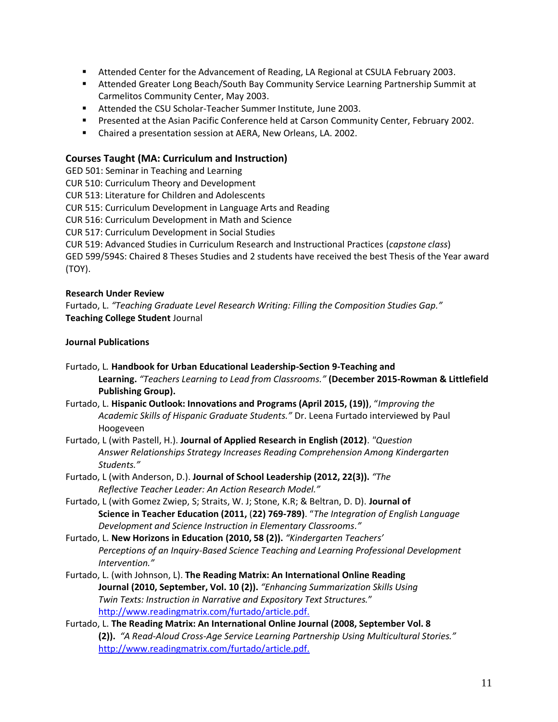- Attended Center for the Advancement of Reading, LA Regional at CSULA February 2003.
- Attended Greater Long Beach/South Bay Community Service Learning Partnership Summit at Carmelitos Community Center, May 2003.
- Attended the CSU Scholar-Teacher Summer Institute, June 2003.
- **Presented at the Asian Pacific Conference held at Carson Community Center, February 2002.**
- Chaired a presentation session at AERA, New Orleans, LA. 2002.

## **Courses Taught (MA: Curriculum and Instruction)**

GED 501: Seminar in Teaching and Learning

CUR 510: Curriculum Theory and Development

CUR 513: Literature for Children and Adolescents

CUR 515: Curriculum Development in Language Arts and Reading

CUR 516: Curriculum Development in Math and Science

CUR 517: Curriculum Development in Social Studies

CUR 519: Advanced Studies in Curriculum Research and Instructional Practices (*capstone class*)

GED 599/594S: Chaired 8 Theses Studies and 2 students have received the best Thesis of the Year award (TOY).

### **Research Under Review**

Furtado, L. *"Teaching Graduate Level Research Writing: Filling the Composition Studies Gap."*  **Teaching College Student** Journal

### **Journal Publications**

- Furtado, L*.* **Handbook for Urban Educational Leadership-Section 9-Teaching and Learning.** *"Teachers Learning to Lead from Classrooms."* **(December 2015-Rowman & Littlefield Publishing Group).**
- Furtado, L. **Hispanic Outlook: Innovations and Programs (April 2015, (19))**, "*Improving the Academic Skills of Hispanic Graduate Students."* Dr. Leena Furtado interviewed by Paul Hoogeveen
- Furtado, L (with Pastell, H.). **Journal of Applied Research in English (2012)**. *"Question Answer Relationships Strategy Increases Reading Comprehension Among Kindergarten Students."*
- Furtado, L (with Anderson, D.). **Journal of School Leadership (2012, 22(3)).** *"The Reflective Teacher Leader: An Action Research Model."*
- Furtado, L (with Gomez Zwiep, S; Straits, W. J; Stone, K.R; & Beltran, D. D). **Journal of Science in Teacher Education (2011,** (**22) 769-789)**. "*The Integration of English Language Development and Science Instruction in Elementary Classrooms."*

Furtado, L. **New Horizons in Education (2010, 58 (2)).** *"Kindergarten Teachers' Perceptions of an Inquiry-Based Science Teaching and Learning Professional Development Intervention."*

- Furtado, L. (with Johnson, L). **The Reading Matrix: An International Online Reading Journal (2010, September, Vol. 10 (2)).** *"Enhancing Summarization Skills Using Twin Texts: Instruction in Narrative and Expository Text Structures.*" <http://www.readingmatrix.com/furtado/article.pdf.>
- Furtado, L. **The Reading Matrix: An International Online Journal (2008, September Vol. 8 (2)).** *"A Read-Aloud Cross-Age Service Learning Partnership Using Multicultural Stories."* <http://www.readingmatrix.com/furtado/article.pdf.>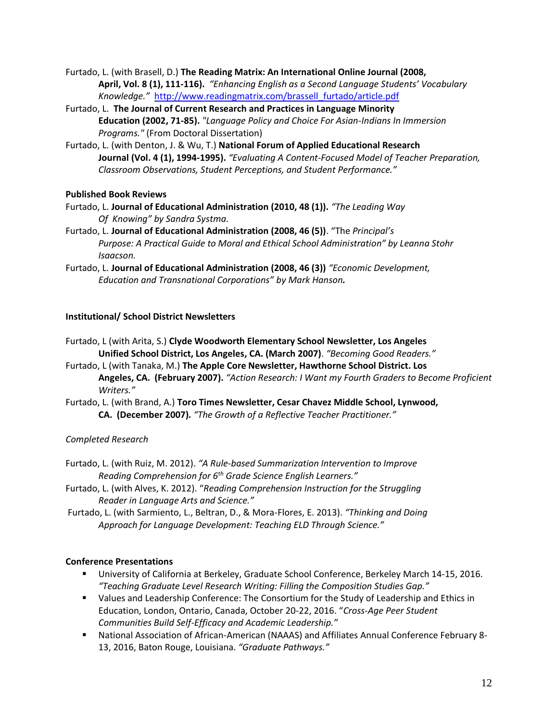Furtado, L. (with Brasell, D.) **The Reading Matrix: An International Online Journal (2008, April, Vol. 8 (1), 111-116).** *"Enhancing English as a Second Language Students' Vocabulary Knowledge."* [http://www.readingmatrix.com/brassell\\_furtado/article.pdf](http://www.readingmatrix.com/brassell_furtado/article.pdf)

- Furtado, L. **The Journal of Current Research and Practices in Language Minority Education (2002, 71-85).** *"Language Policy and Choice For Asian-Indians In Immersion Programs."* (From Doctoral Dissertation)
- Furtado, L. (with Denton, J. & Wu, T.) **National Forum of Applied Educational Research Journal (Vol. 4 (1), 1994-1995).** *"Evaluating A Content-Focused Model of Teacher Preparation, Classroom Observations, Student Perceptions, and Student Performance."*

### **Published Book Reviews**

- Furtado, L. **Journal of Educational Administration (2010, 48 (1)).** *"The Leading Way Of Knowing" by Sandra Systma.*
- Furtado, L. **Journal of Educational Administration (2008, 46 (5))**. "The *Principal's Purpose: A Practical Guide to Moral and Ethical School Administration" by Leanna Stohr Isaacson.*
- Furtado, L. **Journal of Educational Administration (2008, 46 (3))** *"Economic Development, Education and Transnational Corporations" by Mark Hanson.*

## **Institutional/ School District Newsletters**

- Furtado, L (with Arita, S.) **Clyde Woodworth Elementary School Newsletter, Los Angeles Unified School District, Los Angeles, CA. (March 2007)**. *"Becoming Good Readers."*
- Furtado, L (with Tanaka, M.) **The Apple Core Newsletter, Hawthorne School District. Los Angeles, CA. (February 2007).** *"Action Research: I Want my Fourth Graders to Become Proficient Writers."*
- Furtado, L. (with Brand, A.) **Toro Times Newsletter, Cesar Chavez Middle School, Lynwood, CA. (December 2007).** *"The Growth of a Reflective Teacher Practitioner."*

# *Completed Research*

- Furtado, L. (with Ruiz, M. 2012). *"A Rule-based Summarization Intervention to Improve Reading Comprehension for 6th Grade Science English Learners."*
- Furtado, L. (with Alves, K. 2012). "*Reading Comprehension Instruction for the Struggling Reader in Language Arts and Science."*
- Furtado, L. (with Sarmiento, L., Beltran, D., & Mora-Flores, E. 2013). *"Thinking and Doing Approach for Language Development: Teaching ELD Through Science."*

### **Conference Presentations**

- University of California at Berkeley, Graduate School Conference, Berkeley March 14-15, 2016. *"Teaching Graduate Level Research Writing: Filling the Composition Studies Gap."*
- Values and Leadership Conference: The Consortium for the Study of Leadership and Ethics in Education, London, Ontario, Canada, October 20-22, 2016. "*Cross-Age Peer Student Communities Build Self-Efficacy and Academic Leadership."*
- National Association of African-American (NAAAS) and Affiliates Annual Conference February 8- 13, 2016, Baton Rouge, Louisiana. *"Graduate Pathways."*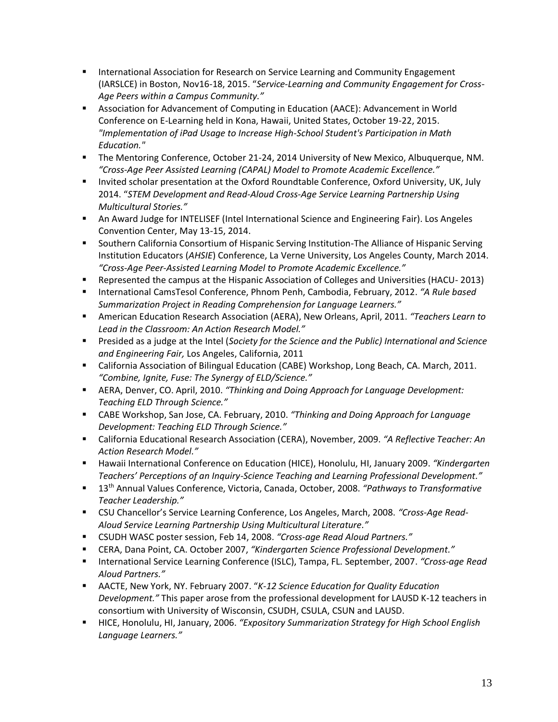- **International Association for Research on Service Learning and Community Engagement** (IARSLCE) in Boston, Nov16-18, 2015. "*Service-Learning and Community Engagement for Cross-Age Peers within a Campus Community."*
- Association for Advancement of Computing in Education (AACE): Advancement in World Conference on E-Learning held in Kona, Hawaii, United States, October 19-22, 2015. *"Implementation of iPad Usage to Increase High-School Student's Participation in Math Education."*
- The Mentoring Conference, October 21-24, 2014 University of New Mexico, Albuquerque, NM. *"Cross-Age Peer Assisted Learning (CAPAL) Model to Promote Academic Excellence."*
- Invited scholar presentation at the Oxford Roundtable Conference, Oxford University, UK, July 2014. "*STEM Development and Read-Aloud Cross-Age Service Learning Partnership Using Multicultural Stories."*
- An Award Judge for INTELISEF (Intel International Science and Engineering Fair). Los Angeles Convention Center, May 13-15, 2014.
- **Southern California Consortium of Hispanic Serving Institution-The Alliance of Hispanic Serving** Institution Educators (*AHSIE*) Conference, La Verne University, Los Angeles County, March 2014. *"Cross-Age Peer-Assisted Learning Model to Promote Academic Excellence."*
- Represented the campus at the Hispanic Association of Colleges and Universities (HACU- 2013)
- International CamsTesol Conference, Phnom Penh, Cambodia, February, 2012. *"A Rule based Summarization Project in Reading Comprehension for Language Learners."*
- American Education Research Association (AERA), New Orleans, April, 2011. *"Teachers Learn to Lead in the Classroom: An Action Research Model."*
- Presided as a judge at the Intel (*Society for the Science and the Public) International and Science and Engineering Fair,* Los Angeles, California, 2011
- California Association of Bilingual Education (CABE) Workshop, Long Beach, CA. March, 2011. *"Combine, Ignite, Fuse: The Synergy of ELD/Science."*
- AERA, Denver, CO. April, 2010. *"Thinking and Doing Approach for Language Development: Teaching ELD Through Science."*
- CABE Workshop, San Jose, CA. February, 2010. *"Thinking and Doing Approach for Language Development: Teaching ELD Through Science."*
- California Educational Research Association (CERA), November, 2009. *"A Reflective Teacher: An Action Research Model."*
- Hawaii International Conference on Education (HICE), Honolulu, HI, January 2009. *"Kindergarten Teachers' Perceptions of an Inquiry-Science Teaching and Learning Professional Development."*
- 13th Annual Values Conference, Victoria, Canada, October, 2008. *"Pathways to Transformative Teacher Leadership."*
- CSU Chancellor's Service Learning Conference, Los Angeles, March, 2008. *"Cross-Age Read-Aloud Service Learning Partnership Using Multicultural Literature."*
- CSUDH WASC poster session, Feb 14, 2008. *"Cross-age Read Aloud Partners."*
- CERA, Dana Point, CA. October 2007, *"Kindergarten Science Professional Development."*
- International Service Learning Conference (ISLC), Tampa, FL. September, 2007. *"Cross-age Read Aloud Partners."*
- AACTE, New York, NY. February 2007. "*K-12 Science Education for Quality Education Development."* This paper arose from the professional development for LAUSD K-12 teachers in consortium with University of Wisconsin, CSUDH, CSULA, CSUN and LAUSD.
- HICE, Honolulu, HI, January, 2006. *"Expository Summarization Strategy for High School English Language Learners."*